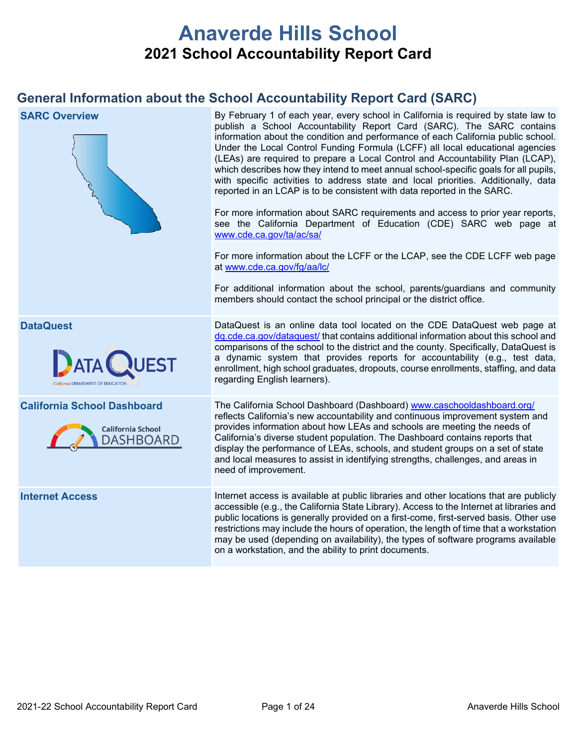# **Anaverde Hills School 2021 School Accountability Report Card**

# **General Information about the School Accountability Report Card (SARC)**

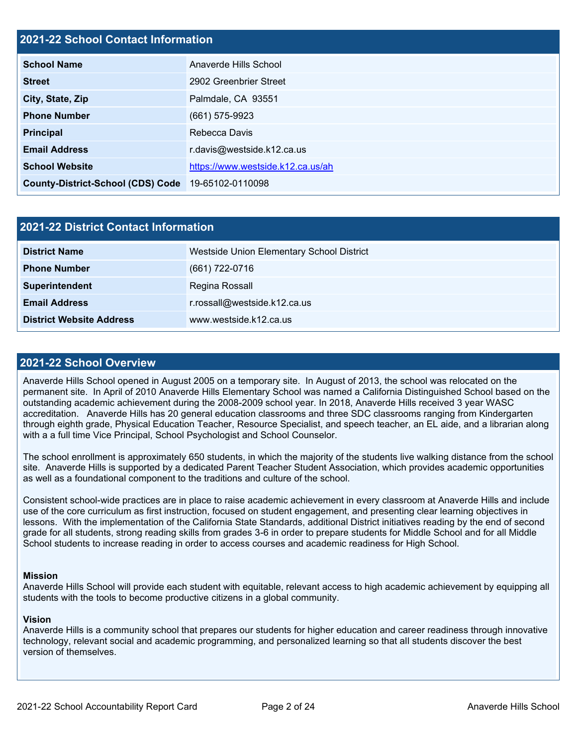#### **2021-22 School Contact Information**

| <b>School Name</b>                                 | Anaverde Hills School             |
|----------------------------------------------------|-----------------------------------|
| <b>Street</b>                                      | 2902 Greenbrier Street            |
| City, State, Zip                                   | Palmdale, CA 93551                |
| <b>Phone Number</b>                                | $(661)$ 575-9923                  |
| <b>Principal</b>                                   | Rebecca Davis                     |
| <b>Email Address</b>                               | r.davis@westside.k12.ca.us        |
| <b>School Website</b>                              | https://www.westside.k12.ca.us/ah |
| County-District-School (CDS) Code 19-65102-0110098 |                                   |

| 2021-22 District Contact Information |                                           |  |  |  |
|--------------------------------------|-------------------------------------------|--|--|--|
| <b>District Name</b>                 | Westside Union Elementary School District |  |  |  |
| <b>Phone Number</b>                  | (661) 722-0716                            |  |  |  |
| Superintendent                       | Regina Rossall                            |  |  |  |
| <b>Email Address</b>                 | r.rossall@westside.k12.ca.us              |  |  |  |
| <b>District Website Address</b>      | www.westside.k12.ca.us                    |  |  |  |

#### **2021-22 School Overview**

Anaverde Hills School opened in August 2005 on a temporary site. In August of 2013, the school was relocated on the permanent site. In April of 2010 Anaverde Hills Elementary School was named a California Distinguished School based on the outstanding academic achievement during the 2008-2009 school year. In 2018, Anaverde Hills received 3 year WASC accreditation. Anaverde Hills has 20 general education classrooms and three SDC classrooms ranging from Kindergarten through eighth grade, Physical Education Teacher, Resource Specialist, and speech teacher, an EL aide, and a librarian along with a a full time Vice Principal, School Psychologist and School Counselor.

The school enrollment is approximately 650 students, in which the majority of the students live walking distance from the school site. Anaverde Hills is supported by a dedicated Parent Teacher Student Association, which provides academic opportunities as well as a foundational component to the traditions and culture of the school.

Consistent school-wide practices are in place to raise academic achievement in every classroom at Anaverde Hills and include use of the core curriculum as first instruction, focused on student engagement, and presenting clear learning objectives in lessons. With the implementation of the California State Standards, additional District initiatives reading by the end of second grade for all students, strong reading skills from grades 3-6 in order to prepare students for Middle School and for all Middle School students to increase reading in order to access courses and academic readiness for High School.

#### **Mission**

Anaverde Hills School will provide each student with equitable, relevant access to high academic achievement by equipping all students with the tools to become productive citizens in a global community.

#### **Vision**

Anaverde Hills is a community school that prepares our students for higher education and career readiness through innovative technology, relevant social and academic programming, and personalized learning so that all students discover the best version of themselves.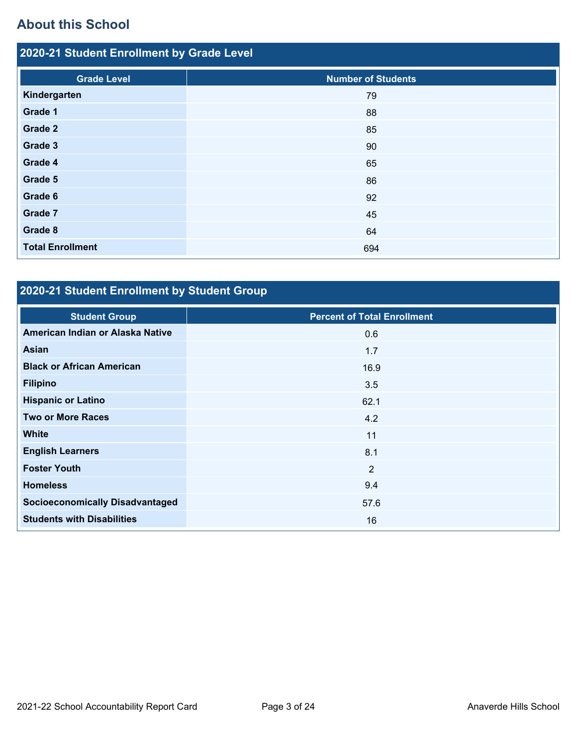# **About this School**

| 2020-21 Student Enrollment by Grade Level |                           |  |  |  |
|-------------------------------------------|---------------------------|--|--|--|
| <b>Grade Level</b>                        | <b>Number of Students</b> |  |  |  |
| Kindergarten                              | 79                        |  |  |  |
| Grade 1                                   | 88                        |  |  |  |
| Grade 2                                   | 85                        |  |  |  |
| Grade 3                                   | 90                        |  |  |  |
| Grade 4                                   | 65                        |  |  |  |
| Grade 5                                   | 86                        |  |  |  |
| Grade 6                                   | 92                        |  |  |  |
| Grade 7                                   | 45                        |  |  |  |
| Grade 8                                   | 64                        |  |  |  |
| <b>Total Enrollment</b>                   | 694                       |  |  |  |

# **2020-21 Student Enrollment by Student Group**

| <b>Student Group</b>                   | <b>Percent of Total Enrollment</b> |
|----------------------------------------|------------------------------------|
| American Indian or Alaska Native       | 0.6                                |
| <b>Asian</b>                           | 1.7                                |
| <b>Black or African American</b>       | 16.9                               |
| <b>Filipino</b>                        | 3.5                                |
| <b>Hispanic or Latino</b>              | 62.1                               |
| <b>Two or More Races</b>               | 4.2                                |
| <b>White</b>                           | 11                                 |
| <b>English Learners</b>                | 8.1                                |
| <b>Foster Youth</b>                    | 2                                  |
| <b>Homeless</b>                        | 9.4                                |
| <b>Socioeconomically Disadvantaged</b> | 57.6                               |
| <b>Students with Disabilities</b>      | 16                                 |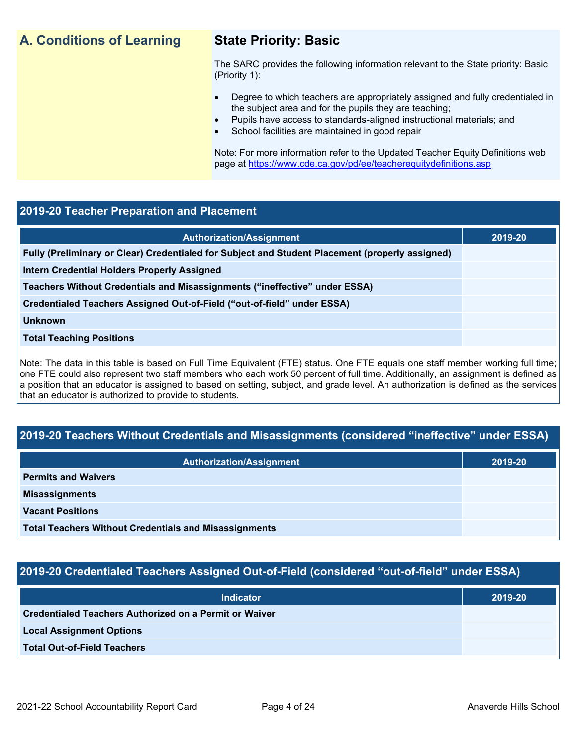# **A. Conditions of Learning State Priority: Basic**

The SARC provides the following information relevant to the State priority: Basic (Priority 1):

- Degree to which teachers are appropriately assigned and fully credentialed in the subject area and for the pupils they are teaching;
	- Pupils have access to standards-aligned instructional materials; and
- School facilities are maintained in good repair

Note: For more information refer to the Updated Teacher Equity Definitions web page at<https://www.cde.ca.gov/pd/ee/teacherequitydefinitions.asp>

#### **2019-20 Teacher Preparation and Placement**

| <b>Authorization/Assignment</b>                                                                 | 2019-20 |
|-------------------------------------------------------------------------------------------------|---------|
| Fully (Preliminary or Clear) Credentialed for Subject and Student Placement (properly assigned) |         |
| <b>Intern Credential Holders Properly Assigned</b>                                              |         |
| Teachers Without Credentials and Misassignments ("ineffective" under ESSA)                      |         |
| Credentialed Teachers Assigned Out-of-Field ("out-of-field" under ESSA)                         |         |
| <b>Unknown</b>                                                                                  |         |
| <b>Total Teaching Positions</b>                                                                 |         |
|                                                                                                 |         |

Note: The data in this table is based on Full Time Equivalent (FTE) status. One FTE equals one staff member working full time; one FTE could also represent two staff members who each work 50 percent of full time. Additionally, an assignment is defined as a position that an educator is assigned to based on setting, subject, and grade level. An authorization is defined as the services that an educator is authorized to provide to students.

### **2019-20 Teachers Without Credentials and Misassignments (considered "ineffective" under ESSA)**

| <b>Authorization/Assignment</b>                              | 2019-20 |
|--------------------------------------------------------------|---------|
| <b>Permits and Waivers</b>                                   |         |
| <b>Misassignments</b>                                        |         |
| <b>Vacant Positions</b>                                      |         |
| <b>Total Teachers Without Credentials and Misassignments</b> |         |

### **2019-20 Credentialed Teachers Assigned Out-of-Field (considered "out-of-field" under ESSA)**

| <b>Indicator</b>                                              | 2019-20 |
|---------------------------------------------------------------|---------|
| <b>Credentialed Teachers Authorized on a Permit or Waiver</b> |         |
| <b>Local Assignment Options</b>                               |         |
| <b>Total Out-of-Field Teachers</b>                            |         |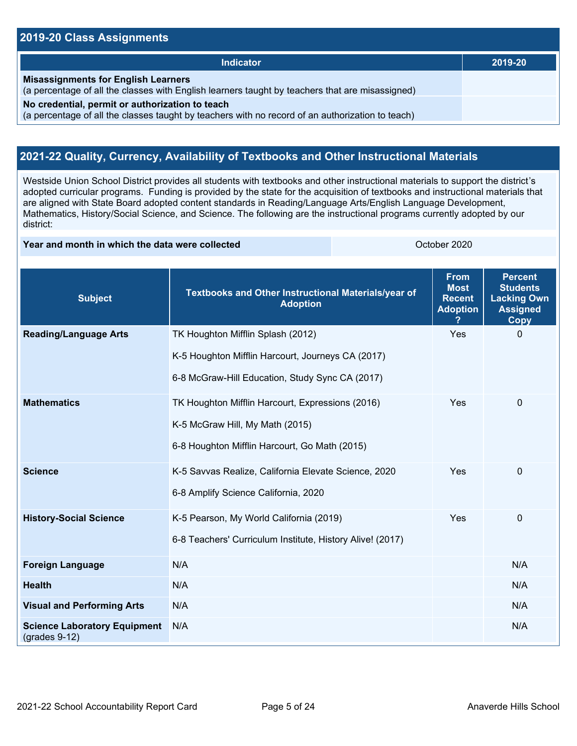#### **2019-20 Class Assignments**

| <b>Indicator</b>                                                                                                                                    | 2019-20 |
|-----------------------------------------------------------------------------------------------------------------------------------------------------|---------|
| <b>Misassignments for English Learners</b><br>(a percentage of all the classes with English learners taught by teachers that are misassigned)       |         |
| No credential, permit or authorization to teach<br>(a percentage of all the classes taught by teachers with no record of an authorization to teach) |         |

## **2021-22 Quality, Currency, Availability of Textbooks and Other Instructional Materials**

Westside Union School District provides all students with textbooks and other instructional materials to support the district's adopted curricular programs. Funding is provided by the state for the acquisition of textbooks and instructional materials that are aligned with State Board adopted content standards in Reading/Language Arts/English Language Development, Mathematics, History/Social Science, and Science. The following are the instructional programs currently adopted by our district:

#### **Year and month in which the data were collected Constanting Constanting Constanting Constanting Constanting October 2020**

| <b>Subject</b>                                         | Textbooks and Other Instructional Materials/year of<br><b>Adoption</b> | <b>From</b><br><b>Most</b><br><b>Recent</b><br><b>Adoption</b> | <b>Percent</b><br><b>Students</b><br><b>Lacking Own</b><br><b>Assigned</b><br>Copy |
|--------------------------------------------------------|------------------------------------------------------------------------|----------------------------------------------------------------|------------------------------------------------------------------------------------|
| <b>Reading/Language Arts</b>                           | TK Houghton Mifflin Splash (2012)                                      | Yes                                                            | $\mathbf 0$                                                                        |
|                                                        | K-5 Houghton Mifflin Harcourt, Journeys CA (2017)                      |                                                                |                                                                                    |
|                                                        | 6-8 McGraw-Hill Education, Study Sync CA (2017)                        |                                                                |                                                                                    |
| <b>Mathematics</b>                                     | TK Houghton Mifflin Harcourt, Expressions (2016)                       | Yes                                                            | $\pmb{0}$                                                                          |
|                                                        | K-5 McGraw Hill, My Math (2015)                                        |                                                                |                                                                                    |
|                                                        | 6-8 Houghton Mifflin Harcourt, Go Math (2015)                          |                                                                |                                                                                    |
| <b>Science</b>                                         | K-5 Savvas Realize, California Elevate Science, 2020                   | Yes                                                            | $\Omega$                                                                           |
|                                                        | 6-8 Amplify Science California, 2020                                   |                                                                |                                                                                    |
| <b>History-Social Science</b>                          | K-5 Pearson, My World California (2019)                                | Yes                                                            | $\mathbf 0$                                                                        |
|                                                        | 6-8 Teachers' Curriculum Institute, History Alive! (2017)              |                                                                |                                                                                    |
| <b>Foreign Language</b>                                | N/A                                                                    |                                                                | N/A                                                                                |
| <b>Health</b>                                          | N/A                                                                    |                                                                | N/A                                                                                |
| <b>Visual and Performing Arts</b>                      | N/A                                                                    |                                                                | N/A                                                                                |
| <b>Science Laboratory Equipment</b><br>$(grades 9-12)$ | N/A                                                                    |                                                                | N/A                                                                                |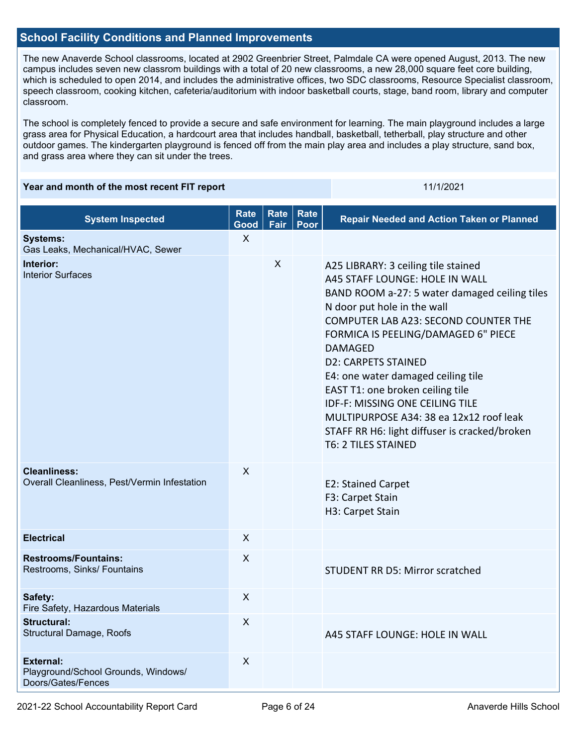#### **School Facility Conditions and Planned Improvements**

The new Anaverde School classrooms, located at 2902 Greenbrier Street, Palmdale CA were opened August, 2013. The new campus includes seven new classrom buildings with a total of 20 new classrooms, a new 28,000 square feet core building, which is scheduled to open 2014, and includes the administrative offices, two SDC classrooms, Resource Specialist classroom, speech classroom, cooking kitchen, cafeteria/auditorium with indoor basketball courts, stage, band room, library and computer classroom.

The school is completely fenced to provide a secure and safe environment for learning. The main playground includes a large grass area for Physical Education, a hardcourt area that includes handball, basketball, tetherball, play structure and other outdoor games. The kindergarten playground is fenced off from the main play area and includes a play structure, sand box, and grass area where they can sit under the trees.

#### **Year and month of the most recent FIT report** 11/1/2021 11/1/2021

| <b>System Inspected</b>                                                       | <b>Rate</b><br>Good       | <b>Rate</b><br>Fair | Rate<br>Poor | <b>Repair Needed and Action Taken or Planned</b>                                                                                                                                                                                                                                                                                                                                                                                                                                                                                   |
|-------------------------------------------------------------------------------|---------------------------|---------------------|--------------|------------------------------------------------------------------------------------------------------------------------------------------------------------------------------------------------------------------------------------------------------------------------------------------------------------------------------------------------------------------------------------------------------------------------------------------------------------------------------------------------------------------------------------|
| <b>Systems:</b><br>Gas Leaks, Mechanical/HVAC, Sewer                          | X                         |                     |              |                                                                                                                                                                                                                                                                                                                                                                                                                                                                                                                                    |
| Interior:<br><b>Interior Surfaces</b>                                         |                           | $\pmb{\times}$      |              | A25 LIBRARY: 3 ceiling tile stained<br>A45 STAFF LOUNGE: HOLE IN WALL<br>BAND ROOM a-27: 5 water damaged ceiling tiles<br>N door put hole in the wall<br>COMPUTER LAB A23: SECOND COUNTER THE<br>FORMICA IS PEELING/DAMAGED 6" PIECE<br><b>DAMAGED</b><br><b>D2: CARPETS STAINED</b><br>E4: one water damaged ceiling tile<br>EAST T1: one broken ceiling tile<br><b>IDF-F: MISSING ONE CEILING TILE</b><br>MULTIPURPOSE A34: 38 ea 12x12 roof leak<br>STAFF RR H6: light diffuser is cracked/broken<br><b>T6: 2 TILES STAINED</b> |
| <b>Cleanliness:</b><br>Overall Cleanliness, Pest/Vermin Infestation           | $\mathsf{X}$              |                     |              | E2: Stained Carpet<br>F3: Carpet Stain<br>H3: Carpet Stain                                                                                                                                                                                                                                                                                                                                                                                                                                                                         |
| <b>Electrical</b>                                                             | $\mathsf{X}$              |                     |              |                                                                                                                                                                                                                                                                                                                                                                                                                                                                                                                                    |
| <b>Restrooms/Fountains:</b><br>Restrooms, Sinks/ Fountains                    | X                         |                     |              | STUDENT RR D5: Mirror scratched                                                                                                                                                                                                                                                                                                                                                                                                                                                                                                    |
| Safety:<br>Fire Safety, Hazardous Materials                                   | $\mathsf{X}$              |                     |              |                                                                                                                                                                                                                                                                                                                                                                                                                                                                                                                                    |
| Structural:<br>Structural Damage, Roofs                                       | $\overline{\mathsf{X}}$   |                     |              | A45 STAFF LOUNGE: HOLE IN WALL                                                                                                                                                                                                                                                                                                                                                                                                                                                                                                     |
| <b>External:</b><br>Playground/School Grounds, Windows/<br>Doors/Gates/Fences | $\boldsymbol{\mathsf{X}}$ |                     |              |                                                                                                                                                                                                                                                                                                                                                                                                                                                                                                                                    |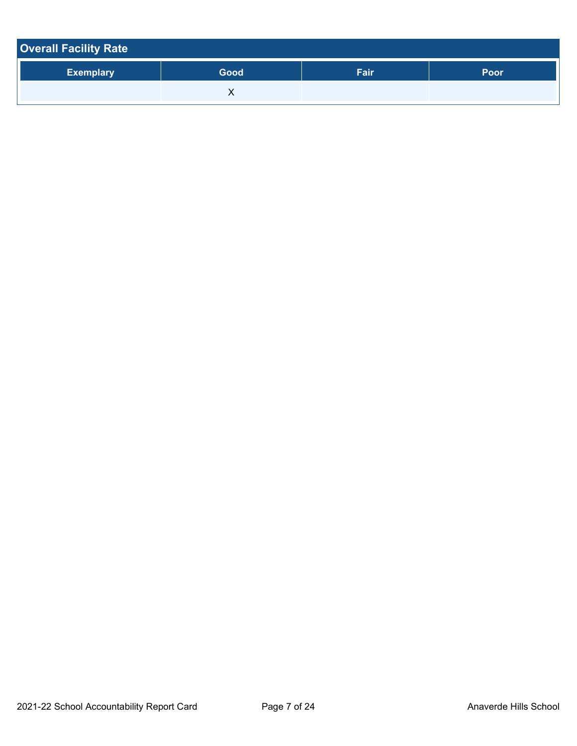| <b>Overall Facility Rate</b> |      |      |      |  |  |  |
|------------------------------|------|------|------|--|--|--|
| <b>Exemplary</b>             | Good | Fair | Poor |  |  |  |
|                              |      |      |      |  |  |  |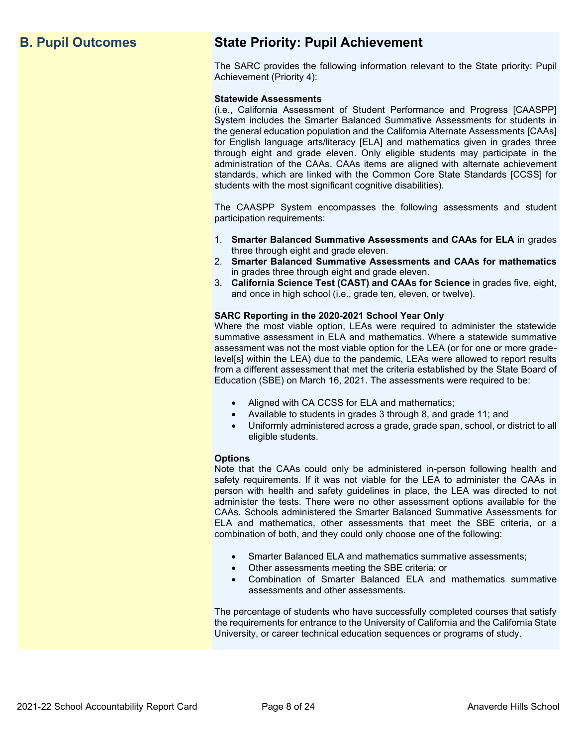# **B. Pupil Outcomes State Priority: Pupil Achievement**

The SARC provides the following information relevant to the State priority: Pupil Achievement (Priority 4):

#### **Statewide Assessments**

(i.e., California Assessment of Student Performance and Progress [CAASPP] System includes the Smarter Balanced Summative Assessments for students in the general education population and the California Alternate Assessments [CAAs] for English language arts/literacy [ELA] and mathematics given in grades three through eight and grade eleven. Only eligible students may participate in the administration of the CAAs. CAAs items are aligned with alternate achievement standards, which are linked with the Common Core State Standards [CCSS] for students with the most significant cognitive disabilities).

The CAASPP System encompasses the following assessments and student participation requirements:

- 1. **Smarter Balanced Summative Assessments and CAAs for ELA** in grades three through eight and grade eleven.
- 2. **Smarter Balanced Summative Assessments and CAAs for mathematics** in grades three through eight and grade eleven.
- 3. **California Science Test (CAST) and CAAs for Science** in grades five, eight, and once in high school (i.e., grade ten, eleven, or twelve).

#### **SARC Reporting in the 2020-2021 School Year Only**

Where the most viable option, LEAs were required to administer the statewide summative assessment in ELA and mathematics. Where a statewide summative assessment was not the most viable option for the LEA (or for one or more gradelevel[s] within the LEA) due to the pandemic, LEAs were allowed to report results from a different assessment that met the criteria established by the State Board of Education (SBE) on March 16, 2021. The assessments were required to be:

- Aligned with CA CCSS for ELA and mathematics;
- Available to students in grades 3 through 8, and grade 11; and
- Uniformly administered across a grade, grade span, school, or district to all eligible students.

#### **Options**

Note that the CAAs could only be administered in-person following health and safety requirements. If it was not viable for the LEA to administer the CAAs in person with health and safety guidelines in place, the LEA was directed to not administer the tests. There were no other assessment options available for the CAAs. Schools administered the Smarter Balanced Summative Assessments for ELA and mathematics, other assessments that meet the SBE criteria, or a combination of both, and they could only choose one of the following:

- Smarter Balanced ELA and mathematics summative assessments;
- Other assessments meeting the SBE criteria; or
- Combination of Smarter Balanced ELA and mathematics summative assessments and other assessments.

The percentage of students who have successfully completed courses that satisfy the requirements for entrance to the University of California and the California State University, or career technical education sequences or programs of study.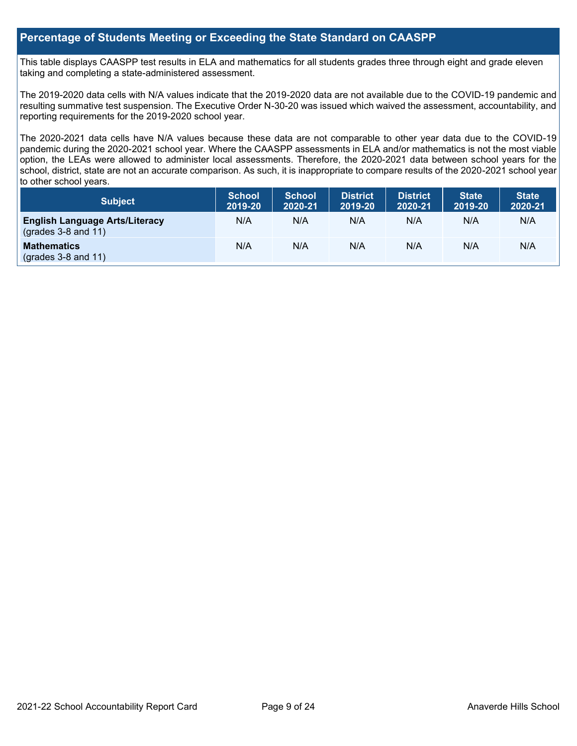#### **Percentage of Students Meeting or Exceeding the State Standard on CAASPP**

This table displays CAASPP test results in ELA and mathematics for all students grades three through eight and grade eleven taking and completing a state-administered assessment.

The 2019-2020 data cells with N/A values indicate that the 2019-2020 data are not available due to the COVID-19 pandemic and resulting summative test suspension. The Executive Order N-30-20 was issued which waived the assessment, accountability, and reporting requirements for the 2019-2020 school year.

The 2020-2021 data cells have N/A values because these data are not comparable to other year data due to the COVID-19 pandemic during the 2020-2021 school year. Where the CAASPP assessments in ELA and/or mathematics is not the most viable option, the LEAs were allowed to administer local assessments. Therefore, the 2020-2021 data between school years for the school, district, state are not an accurate comparison. As such, it is inappropriate to compare results of the 2020-2021 school year to other school years.

| Subject                                                              | <b>School</b><br>2019-20 | <b>School</b><br>2020-21 | <b>District</b><br>2019-20 | <b>District</b><br>2020-21 | <b>State</b><br>2019-20 | <b>State</b><br>2020-21 |
|----------------------------------------------------------------------|--------------------------|--------------------------|----------------------------|----------------------------|-------------------------|-------------------------|
| <b>English Language Arts/Literacy</b><br>$\left($ grades 3-8 and 11) | N/A                      | N/A                      | N/A                        | N/A                        | N/A                     | N/A                     |
| <b>Mathematics</b><br>$(grades 3-8 and 11)$                          | N/A                      | N/A                      | N/A                        | N/A                        | N/A                     | N/A                     |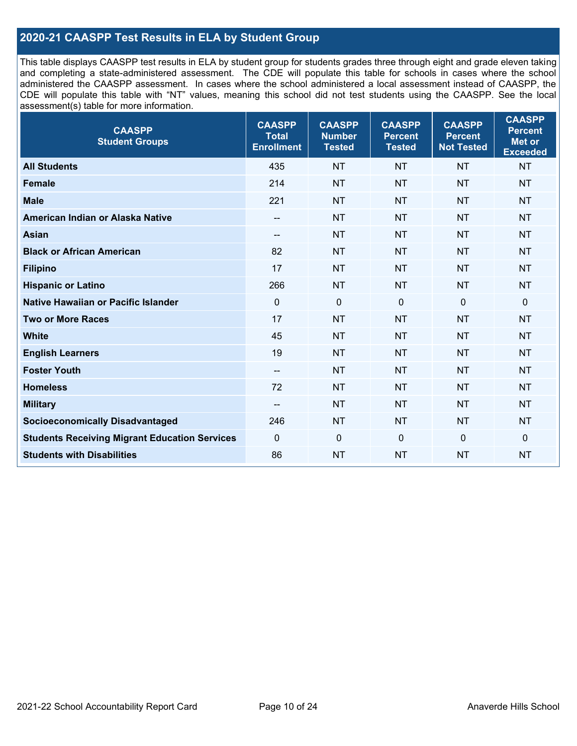### **2020-21 CAASPP Test Results in ELA by Student Group**

This table displays CAASPP test results in ELA by student group for students grades three through eight and grade eleven taking and completing a state-administered assessment. The CDE will populate this table for schools in cases where the school administered the CAASPP assessment. In cases where the school administered a local assessment instead of CAASPP, the CDE will populate this table with "NT" values, meaning this school did not test students using the CAASPP. See the local assessment(s) table for more information.

| <b>CAASPP</b><br><b>Student Groups</b>               | <b>CAASPP</b><br><b>Total</b><br><b>Enrollment</b> | <b>CAASPP</b><br><b>Number</b><br><b>Tested</b> | <b>CAASPP</b><br><b>Percent</b><br><b>Tested</b> | <b>CAASPP</b><br><b>Percent</b><br><b>Not Tested</b> | <b>CAASPP</b><br><b>Percent</b><br><b>Met or</b><br><b>Exceeded</b> |
|------------------------------------------------------|----------------------------------------------------|-------------------------------------------------|--------------------------------------------------|------------------------------------------------------|---------------------------------------------------------------------|
| <b>All Students</b>                                  | 435                                                | <b>NT</b>                                       | <b>NT</b>                                        | <b>NT</b>                                            | <b>NT</b>                                                           |
| <b>Female</b>                                        | 214                                                | <b>NT</b>                                       | <b>NT</b>                                        | <b>NT</b>                                            | <b>NT</b>                                                           |
| <b>Male</b>                                          | 221                                                | <b>NT</b>                                       | <b>NT</b>                                        | <b>NT</b>                                            | <b>NT</b>                                                           |
| American Indian or Alaska Native                     | --                                                 | <b>NT</b>                                       | <b>NT</b>                                        | <b>NT</b>                                            | <b>NT</b>                                                           |
| <b>Asian</b>                                         | --                                                 | <b>NT</b>                                       | <b>NT</b>                                        | <b>NT</b>                                            | <b>NT</b>                                                           |
| <b>Black or African American</b>                     | 82                                                 | <b>NT</b>                                       | <b>NT</b>                                        | <b>NT</b>                                            | <b>NT</b>                                                           |
| <b>Filipino</b>                                      | 17                                                 | <b>NT</b>                                       | <b>NT</b>                                        | <b>NT</b>                                            | <b>NT</b>                                                           |
| <b>Hispanic or Latino</b>                            | 266                                                | <b>NT</b>                                       | <b>NT</b>                                        | <b>NT</b>                                            | <b>NT</b>                                                           |
| Native Hawaiian or Pacific Islander                  | $\mathbf 0$                                        | $\mathbf 0$                                     | $\mathbf 0$                                      | $\mathbf 0$                                          | $\mathbf 0$                                                         |
| <b>Two or More Races</b>                             | 17                                                 | <b>NT</b>                                       | <b>NT</b>                                        | <b>NT</b>                                            | <b>NT</b>                                                           |
| <b>White</b>                                         | 45                                                 | <b>NT</b>                                       | <b>NT</b>                                        | <b>NT</b>                                            | <b>NT</b>                                                           |
| <b>English Learners</b>                              | 19                                                 | <b>NT</b>                                       | <b>NT</b>                                        | <b>NT</b>                                            | <b>NT</b>                                                           |
| <b>Foster Youth</b>                                  | $\overline{\phantom{a}}$                           | <b>NT</b>                                       | <b>NT</b>                                        | <b>NT</b>                                            | <b>NT</b>                                                           |
| <b>Homeless</b>                                      | 72                                                 | <b>NT</b>                                       | <b>NT</b>                                        | <b>NT</b>                                            | <b>NT</b>                                                           |
| <b>Military</b>                                      | --                                                 | <b>NT</b>                                       | <b>NT</b>                                        | <b>NT</b>                                            | <b>NT</b>                                                           |
| <b>Socioeconomically Disadvantaged</b>               | 246                                                | <b>NT</b>                                       | <b>NT</b>                                        | <b>NT</b>                                            | <b>NT</b>                                                           |
| <b>Students Receiving Migrant Education Services</b> | 0                                                  | $\mathbf 0$                                     | 0                                                | $\mathbf 0$                                          | 0                                                                   |
| <b>Students with Disabilities</b>                    | 86                                                 | <b>NT</b>                                       | <b>NT</b>                                        | <b>NT</b>                                            | <b>NT</b>                                                           |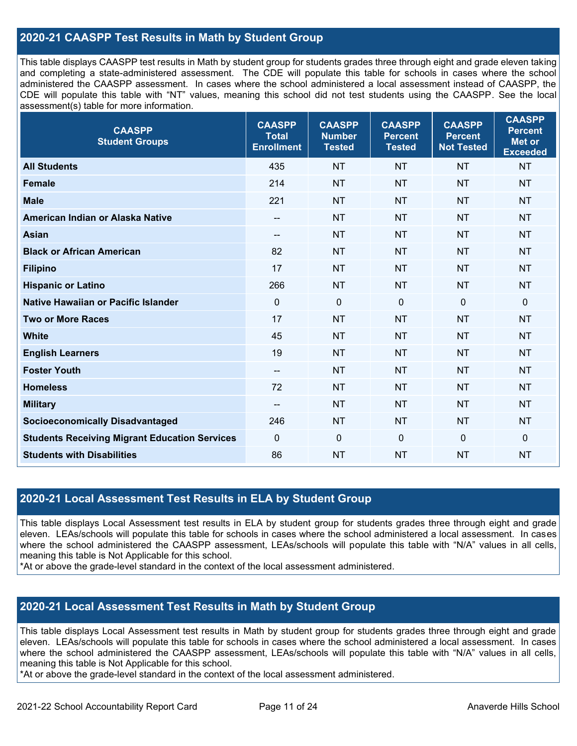### **2020-21 CAASPP Test Results in Math by Student Group**

This table displays CAASPP test results in Math by student group for students grades three through eight and grade eleven taking and completing a state-administered assessment. The CDE will populate this table for schools in cases where the school administered the CAASPP assessment. In cases where the school administered a local assessment instead of CAASPP, the CDE will populate this table with "NT" values, meaning this school did not test students using the CAASPP. See the local assessment(s) table for more information.

| <b>CAASPP</b><br><b>Student Groups</b>               | <b>CAASPP</b><br><b>Total</b><br><b>Enrollment</b> | <b>CAASPP</b><br><b>Number</b><br><b>Tested</b> | <b>CAASPP</b><br><b>Percent</b><br><b>Tested</b> | <b>CAASPP</b><br><b>Percent</b><br><b>Not Tested</b> | <b>CAASPP</b><br><b>Percent</b><br><b>Met or</b><br><b>Exceeded</b> |
|------------------------------------------------------|----------------------------------------------------|-------------------------------------------------|--------------------------------------------------|------------------------------------------------------|---------------------------------------------------------------------|
| <b>All Students</b>                                  | 435                                                | <b>NT</b>                                       | <b>NT</b>                                        | <b>NT</b>                                            | <b>NT</b>                                                           |
| <b>Female</b>                                        | 214                                                | <b>NT</b>                                       | <b>NT</b>                                        | <b>NT</b>                                            | <b>NT</b>                                                           |
| <b>Male</b>                                          | 221                                                | <b>NT</b>                                       | <b>NT</b>                                        | <b>NT</b>                                            | <b>NT</b>                                                           |
| American Indian or Alaska Native                     | $-$                                                | <b>NT</b>                                       | <b>NT</b>                                        | <b>NT</b>                                            | <b>NT</b>                                                           |
| <b>Asian</b>                                         | $\overline{\phantom{a}}$                           | <b>NT</b>                                       | <b>NT</b>                                        | <b>NT</b>                                            | <b>NT</b>                                                           |
| <b>Black or African American</b>                     | 82                                                 | <b>NT</b>                                       | <b>NT</b>                                        | <b>NT</b>                                            | <b>NT</b>                                                           |
| <b>Filipino</b>                                      | 17                                                 | <b>NT</b>                                       | <b>NT</b>                                        | <b>NT</b>                                            | <b>NT</b>                                                           |
| <b>Hispanic or Latino</b>                            | 266                                                | <b>NT</b>                                       | <b>NT</b>                                        | <b>NT</b>                                            | <b>NT</b>                                                           |
| Native Hawaiian or Pacific Islander                  | $\mathbf 0$                                        | $\mathbf 0$                                     | $\mathbf 0$                                      | $\mathbf 0$                                          | $\mathbf 0$                                                         |
| <b>Two or More Races</b>                             | 17                                                 | <b>NT</b>                                       | <b>NT</b>                                        | <b>NT</b>                                            | <b>NT</b>                                                           |
| <b>White</b>                                         | 45                                                 | <b>NT</b>                                       | <b>NT</b>                                        | <b>NT</b>                                            | <b>NT</b>                                                           |
| <b>English Learners</b>                              | 19                                                 | <b>NT</b>                                       | <b>NT</b>                                        | <b>NT</b>                                            | <b>NT</b>                                                           |
| <b>Foster Youth</b>                                  | $\overline{\phantom{a}}$                           | <b>NT</b>                                       | <b>NT</b>                                        | <b>NT</b>                                            | <b>NT</b>                                                           |
| <b>Homeless</b>                                      | 72                                                 | <b>NT</b>                                       | <b>NT</b>                                        | <b>NT</b>                                            | <b>NT</b>                                                           |
| <b>Military</b>                                      | --                                                 | <b>NT</b>                                       | <b>NT</b>                                        | <b>NT</b>                                            | <b>NT</b>                                                           |
| <b>Socioeconomically Disadvantaged</b>               | 246                                                | <b>NT</b>                                       | <b>NT</b>                                        | <b>NT</b>                                            | <b>NT</b>                                                           |
| <b>Students Receiving Migrant Education Services</b> | $\mathbf 0$                                        | $\mathbf 0$                                     | $\mathbf{0}$                                     | $\mathbf 0$                                          | $\mathbf 0$                                                         |
| <b>Students with Disabilities</b>                    | 86                                                 | <b>NT</b>                                       | <b>NT</b>                                        | <b>NT</b>                                            | <b>NT</b>                                                           |

#### **2020-21 Local Assessment Test Results in ELA by Student Group**

This table displays Local Assessment test results in ELA by student group for students grades three through eight and grade eleven. LEAs/schools will populate this table for schools in cases where the school administered a local assessment. In cases where the school administered the CAASPP assessment, LEAs/schools will populate this table with "N/A" values in all cells, meaning this table is Not Applicable for this school.

\*At or above the grade-level standard in the context of the local assessment administered.

#### **2020-21 Local Assessment Test Results in Math by Student Group**

This table displays Local Assessment test results in Math by student group for students grades three through eight and grade eleven. LEAs/schools will populate this table for schools in cases where the school administered a local assessment. In cases where the school administered the CAASPP assessment, LEAs/schools will populate this table with "N/A" values in all cells, meaning this table is Not Applicable for this school.

\*At or above the grade-level standard in the context of the local assessment administered.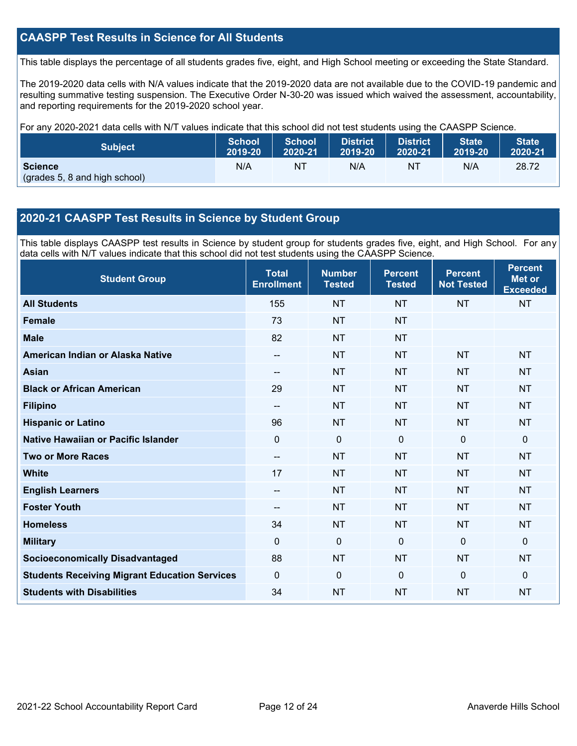### **CAASPP Test Results in Science for All Students**

This table displays the percentage of all students grades five, eight, and High School meeting or exceeding the State Standard.

The 2019-2020 data cells with N/A values indicate that the 2019-2020 data are not available due to the COVID-19 pandemic and resulting summative testing suspension. The Executive Order N-30-20 was issued which waived the assessment, accountability, and reporting requirements for the 2019-2020 school year.

For any 2020-2021 data cells with N/T values indicate that this school did not test students using the CAASPP Science.

| <b>Subject</b>                                  | <b>School</b> | <b>School</b> | <b>District</b> | District. | <b>State</b> | <b>State</b> |
|-------------------------------------------------|---------------|---------------|-----------------|-----------|--------------|--------------|
|                                                 | 2019-20       | 2020-21       | 2019-20         | 2020-21   | 2019-20      | 2020-21      |
| <b>Science</b><br>(grades 5, 8 and high school) | N/A           | NT            | N/A             | NT        | N/A          | 28.72        |

#### **2020-21 CAASPP Test Results in Science by Student Group**

This table displays CAASPP test results in Science by student group for students grades five, eight, and High School. For any data cells with N/T values indicate that this school did not test students using the CAASPP Science.

| <b>Student Group</b>                                 | <b>Total</b><br><b>Enrollment</b> | <b>Number</b><br><b>Tested</b> | <b>Percent</b><br><b>Tested</b> | <b>Percent</b><br><b>Not Tested</b> | <b>Percent</b><br><b>Met or</b><br><b>Exceeded</b> |
|------------------------------------------------------|-----------------------------------|--------------------------------|---------------------------------|-------------------------------------|----------------------------------------------------|
| <b>All Students</b>                                  | 155                               | <b>NT</b>                      | <b>NT</b>                       | <b>NT</b>                           | <b>NT</b>                                          |
| <b>Female</b>                                        | 73                                | <b>NT</b>                      | <b>NT</b>                       |                                     |                                                    |
| <b>Male</b>                                          | 82                                | <b>NT</b>                      | <b>NT</b>                       |                                     |                                                    |
| American Indian or Alaska Native                     | $\overline{\phantom{a}}$          | <b>NT</b>                      | <b>NT</b>                       | <b>NT</b>                           | <b>NT</b>                                          |
| <b>Asian</b>                                         | --                                | <b>NT</b>                      | <b>NT</b>                       | <b>NT</b>                           | <b>NT</b>                                          |
| <b>Black or African American</b>                     | 29                                | <b>NT</b>                      | <b>NT</b>                       | <b>NT</b>                           | <b>NT</b>                                          |
| <b>Filipino</b>                                      | --                                | <b>NT</b>                      | <b>NT</b>                       | <b>NT</b>                           | <b>NT</b>                                          |
| <b>Hispanic or Latino</b>                            | 96                                | <b>NT</b>                      | <b>NT</b>                       | <b>NT</b>                           | <b>NT</b>                                          |
| Native Hawaiian or Pacific Islander                  | $\overline{0}$                    | $\mathbf 0$                    | $\mathbf 0$                     | $\overline{0}$                      | $\mathbf 0$                                        |
| <b>Two or More Races</b>                             | --                                | <b>NT</b>                      | <b>NT</b>                       | <b>NT</b>                           | <b>NT</b>                                          |
| <b>White</b>                                         | 17                                | <b>NT</b>                      | <b>NT</b>                       | <b>NT</b>                           | <b>NT</b>                                          |
| <b>English Learners</b>                              | --                                | <b>NT</b>                      | <b>NT</b>                       | <b>NT</b>                           | <b>NT</b>                                          |
| <b>Foster Youth</b>                                  | --                                | <b>NT</b>                      | <b>NT</b>                       | <b>NT</b>                           | <b>NT</b>                                          |
| <b>Homeless</b>                                      | 34                                | <b>NT</b>                      | <b>NT</b>                       | <b>NT</b>                           | <b>NT</b>                                          |
| <b>Military</b>                                      | $\Omega$                          | 0                              | $\mathbf{0}$                    | $\mathbf{0}$                        | $\mathbf{0}$                                       |
| <b>Socioeconomically Disadvantaged</b>               | 88                                | <b>NT</b>                      | <b>NT</b>                       | <b>NT</b>                           | <b>NT</b>                                          |
| <b>Students Receiving Migrant Education Services</b> | $\Omega$                          | 0                              | $\mathbf{0}$                    | $\Omega$                            | $\mathbf{0}$                                       |
| <b>Students with Disabilities</b>                    | 34                                | <b>NT</b>                      | <b>NT</b>                       | <b>NT</b>                           | <b>NT</b>                                          |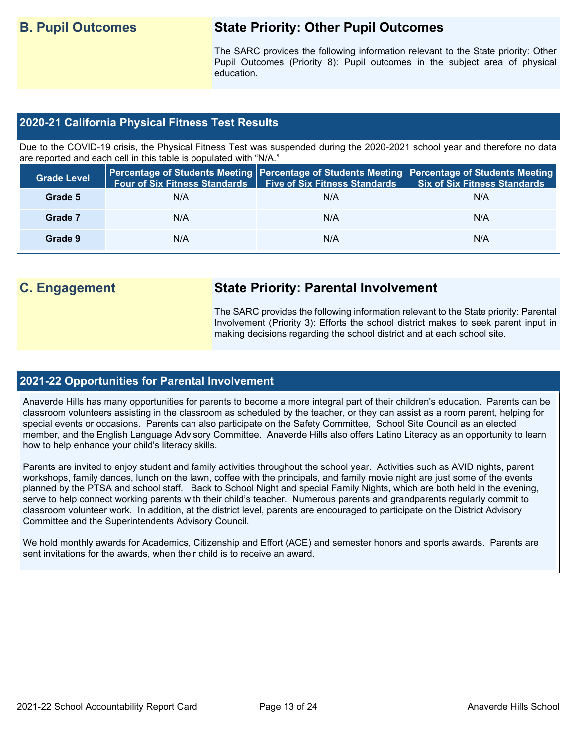# **B. Pupil Outcomes State Priority: Other Pupil Outcomes**

The SARC provides the following information relevant to the State priority: Other Pupil Outcomes (Priority 8): Pupil outcomes in the subject area of physical education.

#### **2020-21 California Physical Fitness Test Results**

Due to the COVID-19 crisis, the Physical Fitness Test was suspended during the 2020-2021 school year and therefore no data are reported and each cell in this table is populated with "N/A."

| <b>Grade Level</b> | <b>Four of Six Fitness Standards</b> | <b>Five of Six Fitness Standards</b> | Percentage of Students Meeting   Percentage of Students Meeting   Percentage of Students Meeting  <br><b>Six of Six Fitness Standards</b> |
|--------------------|--------------------------------------|--------------------------------------|-------------------------------------------------------------------------------------------------------------------------------------------|
| Grade 5            | N/A                                  | N/A                                  | N/A                                                                                                                                       |
| Grade 7            | N/A                                  | N/A                                  | N/A                                                                                                                                       |
| Grade 9            | N/A                                  | N/A                                  | N/A                                                                                                                                       |

# **C. Engagement State Priority: Parental Involvement**

The SARC provides the following information relevant to the State priority: Parental Involvement (Priority 3): Efforts the school district makes to seek parent input in making decisions regarding the school district and at each school site.

#### **2021-22 Opportunities for Parental Involvement**

Anaverde Hills has many opportunities for parents to become a more integral part of their children's education. Parents can be classroom volunteers assisting in the classroom as scheduled by the teacher, or they can assist as a room parent, helping for special events or occasions. Parents can also participate on the Safety Committee, School Site Council as an elected member, and the English Language Advisory Committee. Anaverde Hills also offers Latino Literacy as an opportunity to learn how to help enhance your child's literacy skills.

Parents are invited to enjoy student and family activities throughout the school year. Activities such as AVID nights, parent workshops, family dances, lunch on the lawn, coffee with the principals, and family movie night are just some of the events planned by the PTSA and school staff. Back to School Night and special Family Nights, which are both held in the evening, serve to help connect working parents with their child's teacher. Numerous parents and grandparents regularly commit to classroom volunteer work. In addition, at the district level, parents are encouraged to participate on the District Advisory Committee and the Superintendents Advisory Council.

We hold monthly awards for Academics, Citizenship and Effort (ACE) and semester honors and sports awards. Parents are sent invitations for the awards, when their child is to receive an award.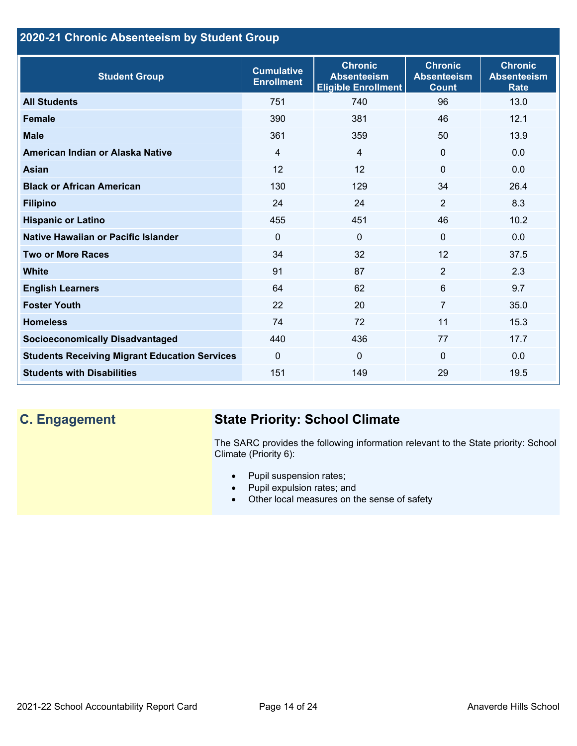## **2020-21 Chronic Absenteeism by Student Group**

| <b>Student Group</b>                                 | <b>Cumulative</b><br><b>Enrollment</b> | <b>Chronic</b><br><b>Absenteeism</b><br><b>Eligible Enrollment</b> | <b>Chronic</b><br><b>Absenteeism</b><br><b>Count</b> | <b>Chronic</b><br><b>Absenteeism</b><br><b>Rate</b> |
|------------------------------------------------------|----------------------------------------|--------------------------------------------------------------------|------------------------------------------------------|-----------------------------------------------------|
| <b>All Students</b>                                  | 751                                    | 740                                                                | 96                                                   | 13.0                                                |
| <b>Female</b>                                        | 390                                    | 381                                                                | 46                                                   | 12.1                                                |
| <b>Male</b>                                          | 361                                    | 359                                                                | 50                                                   | 13.9                                                |
| American Indian or Alaska Native                     | $\overline{4}$                         | $\overline{4}$                                                     | $\mathbf{0}$                                         | 0.0                                                 |
| <b>Asian</b>                                         | 12                                     | 12                                                                 | $\mathbf 0$                                          | 0.0                                                 |
| <b>Black or African American</b>                     | 130                                    | 129                                                                | 34                                                   | 26.4                                                |
| <b>Filipino</b>                                      | 24                                     | 24                                                                 | $\overline{2}$                                       | 8.3                                                 |
| <b>Hispanic or Latino</b>                            | 455                                    | 451                                                                | 46                                                   | 10.2                                                |
| Native Hawaiian or Pacific Islander                  | $\Omega$                               | $\mathbf 0$                                                        | $\mathbf{0}$                                         | 0.0                                                 |
| <b>Two or More Races</b>                             | 34                                     | 32                                                                 | 12                                                   | 37.5                                                |
| <b>White</b>                                         | 91                                     | 87                                                                 | 2                                                    | 2.3                                                 |
| <b>English Learners</b>                              | 64                                     | 62                                                                 | 6                                                    | 9.7                                                 |
| <b>Foster Youth</b>                                  | 22                                     | 20                                                                 | $\overline{7}$                                       | 35.0                                                |
| <b>Homeless</b>                                      | 74                                     | 72                                                                 | 11                                                   | 15.3                                                |
| <b>Socioeconomically Disadvantaged</b>               | 440                                    | 436                                                                | 77                                                   | 17.7                                                |
| <b>Students Receiving Migrant Education Services</b> | $\mathbf{0}$                           | $\mathbf 0$                                                        | $\mathbf{0}$                                         | 0.0                                                 |
| <b>Students with Disabilities</b>                    | 151                                    | 149                                                                | 29                                                   | 19.5                                                |

# **C. Engagement State Priority: School Climate**

The SARC provides the following information relevant to the State priority: School Climate (Priority 6):

- Pupil suspension rates;
- Pupil expulsion rates; and
- Other local measures on the sense of safety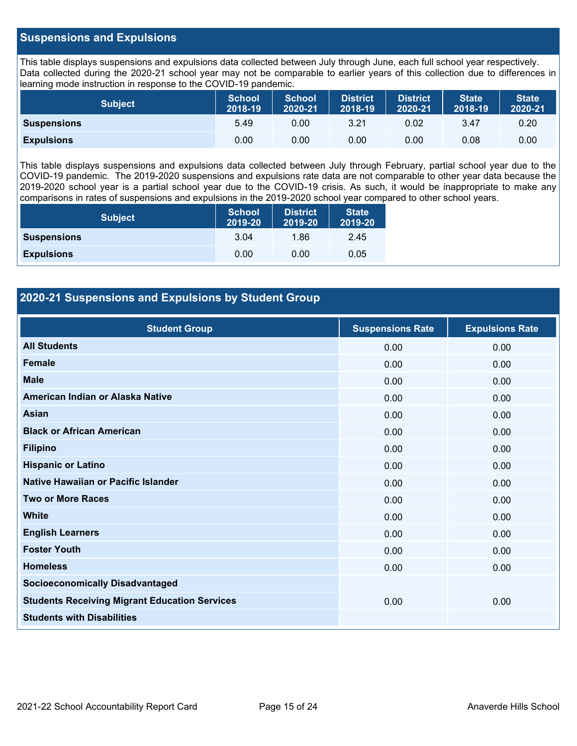#### **Suspensions and Expulsions**

This table displays suspensions and expulsions data collected between July through June, each full school year respectively. Data collected during the 2020-21 school year may not be comparable to earlier years of this collection due to differences in learning mode instruction in response to the COVID-19 pandemic.

| <b>Subject</b>     | <b>School</b><br>2018-19 | <b>School</b><br>2020-21 | <b>District</b><br>2018-19 | <b>District</b><br>2020-21 | <b>State</b><br>2018-19 | <b>State</b><br>2020-21 |
|--------------------|--------------------------|--------------------------|----------------------------|----------------------------|-------------------------|-------------------------|
| <b>Suspensions</b> | 5.49                     | 0.00                     | 3.21                       | 0.02                       | 3.47                    | 0.20                    |
| <b>Expulsions</b>  | 0.00                     | 0.00                     | 0.00                       | 0.00                       | 0.08                    | 0.00                    |

This table displays suspensions and expulsions data collected between July through February, partial school year due to the COVID-19 pandemic. The 2019-2020 suspensions and expulsions rate data are not comparable to other year data because the 2019-2020 school year is a partial school year due to the COVID-19 crisis. As such, it would be inappropriate to make any comparisons in rates of suspensions and expulsions in the 2019-2020 school year compared to other school years.

| <b>Subject</b>     | School<br>2019-20 | <b>District</b><br>2019-20 | <b>State</b><br>2019-20 |
|--------------------|-------------------|----------------------------|-------------------------|
| <b>Suspensions</b> | 3.04              | 1.86                       | 2.45                    |
| <b>Expulsions</b>  | 0.00              | 0.00                       | 0.05                    |

### **2020-21 Suspensions and Expulsions by Student Group**

| <b>Student Group</b>                                 | <b>Suspensions Rate</b> | <b>Expulsions Rate</b> |
|------------------------------------------------------|-------------------------|------------------------|
| <b>All Students</b>                                  | 0.00                    | 0.00                   |
| Female                                               | 0.00                    | 0.00                   |
| <b>Male</b>                                          | 0.00                    | 0.00                   |
| American Indian or Alaska Native                     | 0.00                    | 0.00                   |
| <b>Asian</b>                                         | 0.00                    | 0.00                   |
| <b>Black or African American</b>                     | 0.00                    | 0.00                   |
| <b>Filipino</b>                                      | 0.00                    | 0.00                   |
| <b>Hispanic or Latino</b>                            | 0.00                    | 0.00                   |
| Native Hawaiian or Pacific Islander                  | 0.00                    | 0.00                   |
| <b>Two or More Races</b>                             | 0.00                    | 0.00                   |
| <b>White</b>                                         | 0.00                    | 0.00                   |
| <b>English Learners</b>                              | 0.00                    | 0.00                   |
| <b>Foster Youth</b>                                  | 0.00                    | 0.00                   |
| <b>Homeless</b>                                      | 0.00                    | 0.00                   |
| <b>Socioeconomically Disadvantaged</b>               |                         |                        |
| <b>Students Receiving Migrant Education Services</b> | 0.00                    | 0.00                   |
| <b>Students with Disabilities</b>                    |                         |                        |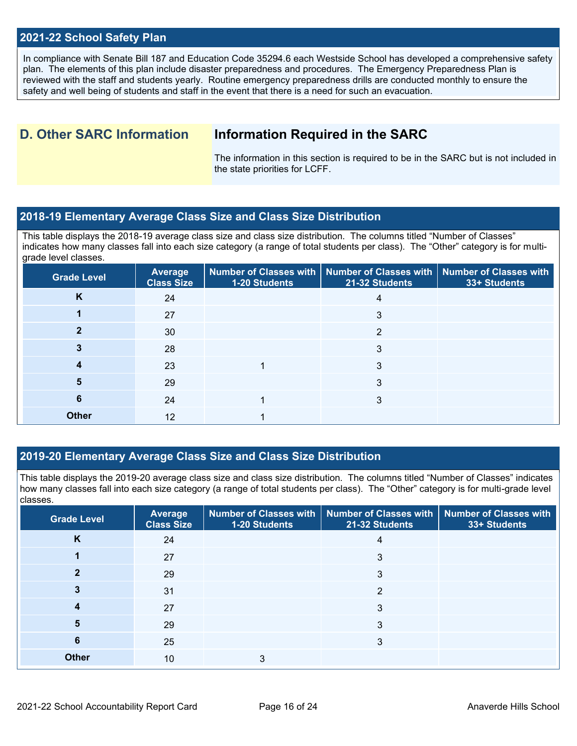#### **2021-22 School Safety Plan**

In compliance with Senate Bill 187 and Education Code 35294.6 each Westside School has developed a comprehensive safety plan. The elements of this plan include disaster preparedness and procedures. The Emergency Preparedness Plan is reviewed with the staff and students yearly. Routine emergency preparedness drills are conducted monthly to ensure the safety and well being of students and staff in the event that there is a need for such an evacuation.

# **D. Other SARC Information Information Required in the SARC**

The information in this section is required to be in the SARC but is not included in the state priorities for LCFF.

#### **2018-19 Elementary Average Class Size and Class Size Distribution**

This table displays the 2018-19 average class size and class size distribution. The columns titled "Number of Classes" indicates how many classes fall into each size category (a range of total students per class). The "Other" category is for multigrade level classes.

| <b>Grade Level</b> | Average<br><b>Class Size</b> | 1-20 Students | Number of Classes with   Number of Classes with   Number of Classes with<br>21-32 Students | 33+ Students |
|--------------------|------------------------------|---------------|--------------------------------------------------------------------------------------------|--------------|
| K                  | 24                           |               | 4                                                                                          |              |
|                    | 27                           |               | 3                                                                                          |              |
|                    | 30                           |               | っ                                                                                          |              |
|                    | 28                           |               | 3                                                                                          |              |
|                    | 23                           |               | 3                                                                                          |              |
| 5                  | 29                           |               | 3                                                                                          |              |
| 6                  | 24                           |               | 3                                                                                          |              |
| <b>Other</b>       | 12                           |               |                                                                                            |              |

#### **2019-20 Elementary Average Class Size and Class Size Distribution**

This table displays the 2019-20 average class size and class size distribution. The columns titled "Number of Classes" indicates how many classes fall into each size category (a range of total students per class). The "Other" category is for multi-grade level classes.

| <b>Grade Level</b> | <b>Average</b><br><b>Class Size</b> | 1-20 Students | Number of Classes with   Number of Classes with   Number of Classes with<br>21-32 Students | 33+ Students |
|--------------------|-------------------------------------|---------------|--------------------------------------------------------------------------------------------|--------------|
| K                  | 24                                  |               | 4                                                                                          |              |
|                    | 27                                  |               | 3                                                                                          |              |
|                    | 29                                  |               | 3                                                                                          |              |
|                    | 31                                  |               | 2                                                                                          |              |
|                    | 27                                  |               | 3                                                                                          |              |
| 5                  | 29                                  |               | 3                                                                                          |              |
| 6                  | 25                                  |               | 3                                                                                          |              |
| <b>Other</b>       | 10                                  | 3             |                                                                                            |              |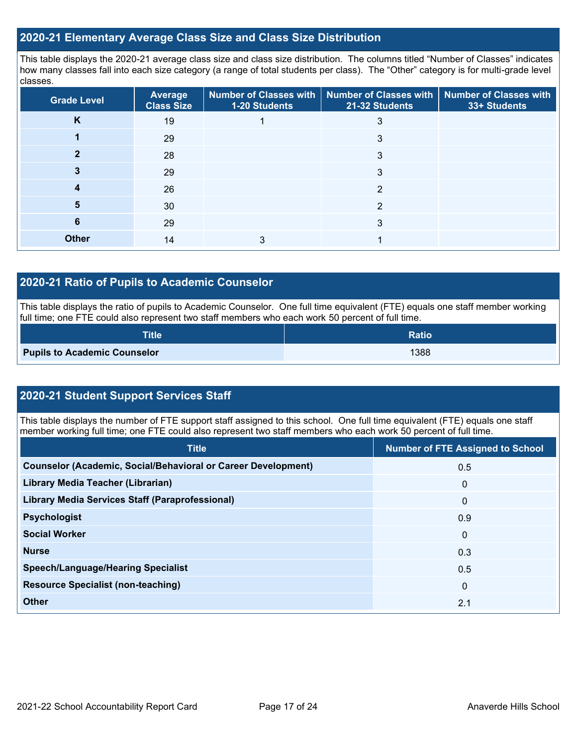#### **2020-21 Elementary Average Class Size and Class Size Distribution**

This table displays the 2020-21 average class size and class size distribution. The columns titled "Number of Classes" indicates how many classes fall into each size category (a range of total students per class). The "Other" category is for multi-grade level classes.

| <b>Grade Level</b> | <b>Average</b><br><b>Class Size</b> | 1-20 Students | Number of Classes with   Number of Classes with   Number of Classes with<br>21-32 Students | 33+ Students |
|--------------------|-------------------------------------|---------------|--------------------------------------------------------------------------------------------|--------------|
| K                  | 19                                  |               |                                                                                            |              |
|                    | 29                                  |               | 3                                                                                          |              |
|                    | 28                                  |               | 3                                                                                          |              |
|                    | 29                                  |               | 3                                                                                          |              |
| 4                  | 26                                  |               | 2                                                                                          |              |
| 5                  | 30                                  |               | っ                                                                                          |              |
| 6                  | 29                                  |               | 3                                                                                          |              |
| <b>Other</b>       | 14                                  |               |                                                                                            |              |

#### **2020-21 Ratio of Pupils to Academic Counselor**

This table displays the ratio of pupils to Academic Counselor. One full time equivalent (FTE) equals one staff member working full time; one FTE could also represent two staff members who each work 50 percent of full time.

| <b>Title</b>                        | <b>Ratio</b> |
|-------------------------------------|--------------|
| <b>Pupils to Academic Counselor</b> | 1388         |

### **2020-21 Student Support Services Staff**

This table displays the number of FTE support staff assigned to this school. One full time equivalent (FTE) equals one staff member working full time; one FTE could also represent two staff members who each work 50 percent of full time.

| <b>Title</b>                                                         | <b>Number of FTE Assigned to School</b> |
|----------------------------------------------------------------------|-----------------------------------------|
| <b>Counselor (Academic, Social/Behavioral or Career Development)</b> | 0.5                                     |
| Library Media Teacher (Librarian)                                    | 0                                       |
| <b>Library Media Services Staff (Paraprofessional)</b>               | $\mathbf{0}$                            |
| <b>Psychologist</b>                                                  | 0.9                                     |
| <b>Social Worker</b>                                                 | $\mathbf{0}$                            |
| <b>Nurse</b>                                                         | 0.3                                     |
| <b>Speech/Language/Hearing Specialist</b>                            | 0.5                                     |
| <b>Resource Specialist (non-teaching)</b>                            | $\mathbf{0}$                            |
| <b>Other</b>                                                         | 2.1                                     |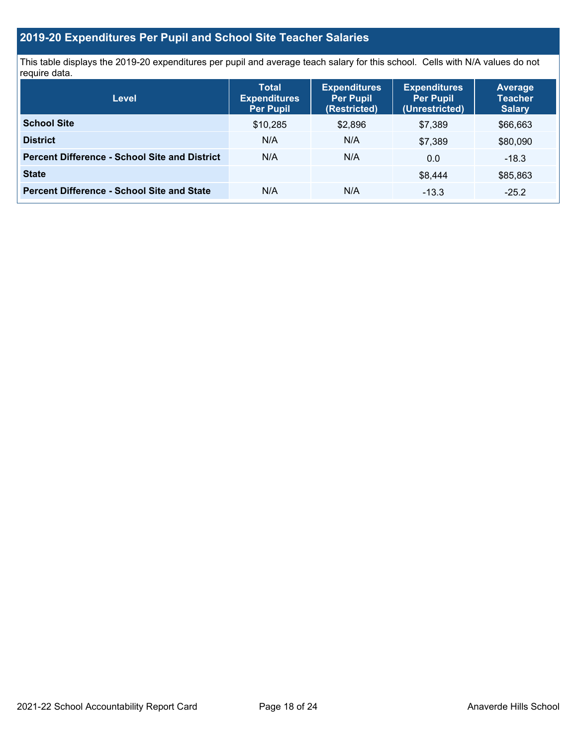## **2019-20 Expenditures Per Pupil and School Site Teacher Salaries**

This table displays the 2019-20 expenditures per pupil and average teach salary for this school. Cells with N/A values do not require data.

| <b>Level</b>                                         | <b>Total</b><br><b>Expenditures</b><br><b>Per Pupil</b> | <b>Expenditures</b><br><b>Per Pupil</b><br>(Restricted) | <b>Expenditures</b><br><b>Per Pupil</b><br>(Unrestricted) | <b>Average</b><br><b>Teacher</b><br><b>Salary</b> |
|------------------------------------------------------|---------------------------------------------------------|---------------------------------------------------------|-----------------------------------------------------------|---------------------------------------------------|
| <b>School Site</b>                                   | \$10,285                                                | \$2,896                                                 | \$7.389                                                   | \$66,663                                          |
| <b>District</b>                                      | N/A                                                     | N/A                                                     | \$7,389                                                   | \$80,090                                          |
| <b>Percent Difference - School Site and District</b> | N/A                                                     | N/A                                                     | 0.0                                                       | $-18.3$                                           |
| <b>State</b>                                         |                                                         |                                                         | \$8.444                                                   | \$85,863                                          |
| <b>Percent Difference - School Site and State</b>    | N/A                                                     | N/A                                                     | $-13.3$                                                   | $-25.2$                                           |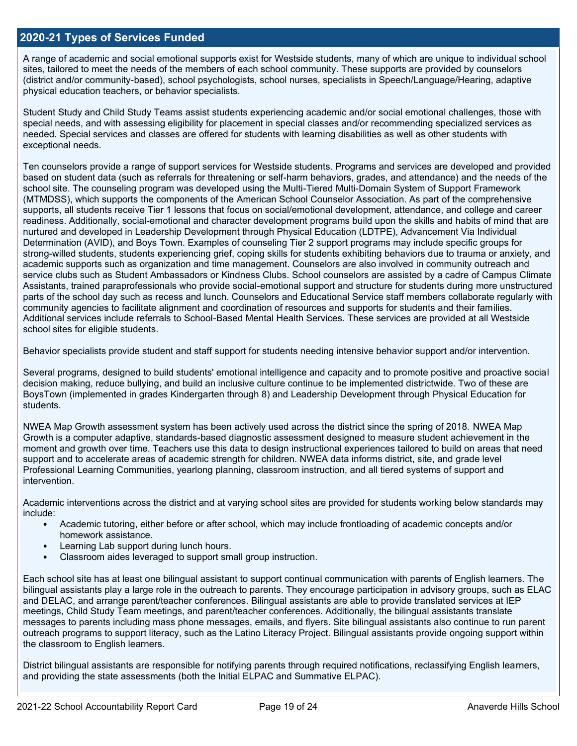#### **2020-21 Types of Services Funded**

A range of academic and social emotional supports exist for Westside students, many of which are unique to individual school sites, tailored to meet the needs of the members of each school community. These supports are provided by counselors (district and/or community-based), school psychologists, school nurses, specialists in Speech/Language/Hearing, adaptive physical education teachers, or behavior specialists.

Student Study and Child Study Teams assist students experiencing academic and/or social emotional challenges, those with special needs, and with assessing eligibility for placement in special classes and/or recommending specialized services as needed. Special services and classes are offered for students with learning disabilities as well as other students with exceptional needs.

Ten counselors provide a range of support services for Westside students. Programs and services are developed and provided based on student data (such as referrals for threatening or self-harm behaviors, grades, and attendance) and the needs of the school site. The counseling program was developed using the Multi-Tiered Multi-Domain System of Support Framework (MTMDSS), which supports the components of the American School Counselor Association. As part of the comprehensive supports, all students receive Tier 1 lessons that focus on social/emotional development, attendance, and college and career readiness. Additionally, social-emotional and character development programs build upon the skills and habits of mind that are nurtured and developed in Leadership Development through Physical Education (LDTPE), Advancement Via Individual Determination (AVID), and Boys Town. Examples of counseling Tier 2 support programs may include specific groups for strong-willed students, students experiencing grief, coping skills for students exhibiting behaviors due to trauma or anxiety, and academic supports such as organization and time management. Counselors are also involved in community outreach and service clubs such as Student Ambassadors or Kindness Clubs. School counselors are assisted by a cadre of Campus Climate Assistants, trained paraprofessionals who provide social-emotional support and structure for students during more unstructured parts of the school day such as recess and lunch. Counselors and Educational Service staff members collaborate regularly with community agencies to facilitate alignment and coordination of resources and supports for students and their families. Additional services include referrals to School-Based Mental Health Services. These services are provided at all Westside school sites for eligible students.

Behavior specialists provide student and staff support for students needing intensive behavior support and/or intervention.

Several programs, designed to build students' emotional intelligence and capacity and to promote positive and proactive social decision making, reduce bullying, and build an inclusive culture continue to be implemented districtwide. Two of these are BoysTown (implemented in grades Kindergarten through 8) and Leadership Development through Physical Education for students.

NWEA Map Growth assessment system has been actively used across the district since the spring of 2018. NWEA Map Growth is a computer adaptive, standards-based diagnostic assessment designed to measure student achievement in the moment and growth over time. Teachers use this data to design instructional experiences tailored to build on areas that need support and to accelerate areas of academic strength for children. NWEA data informs district, site, and grade level Professional Learning Communities, yearlong planning, classroom instruction, and all tiered systems of support and intervention.

Academic interventions across the district and at varying school sites are provided for students working below standards may include:

- Academic tutoring, either before or after school, which may include frontloading of academic concepts and/or homework assistance.
- Learning Lab support during lunch hours.
- Classroom aides leveraged to support small group instruction.

Each school site has at least one bilingual assistant to support continual communication with parents of English learners. The bilingual assistants play a large role in the outreach to parents. They encourage participation in advisory groups, such as ELAC and DELAC, and arrange parent/teacher conferences. Bilingual assistants are able to provide translated services at IEP meetings, Child Study Team meetings, and parent/teacher conferences. Additionally, the bilingual assistants translate messages to parents including mass phone messages, emails, and flyers. Site bilingual assistants also continue to run parent outreach programs to support literacy, such as the Latino Literacy Project. Bilingual assistants provide ongoing support within the classroom to English learners.

District bilingual assistants are responsible for notifying parents through required notifications, reclassifying English learners, and providing the state assessments (both the Initial ELPAC and Summative ELPAC).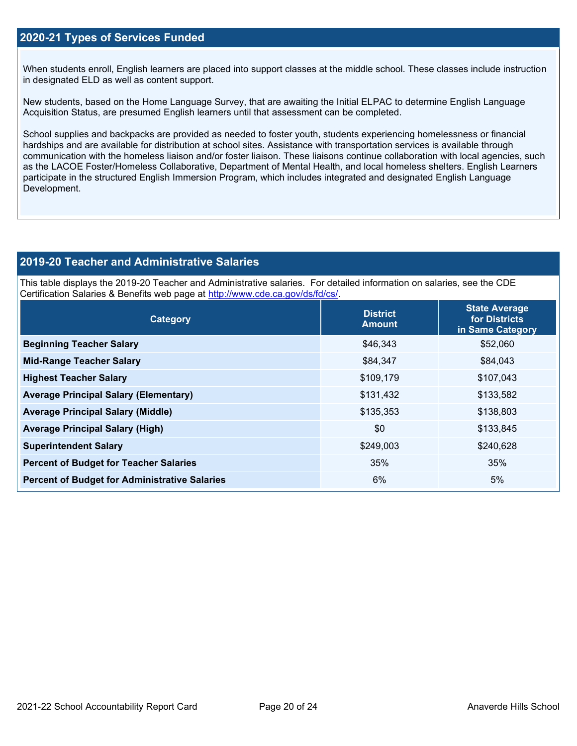#### **2020-21 Types of Services Funded**

When students enroll, English learners are placed into support classes at the middle school. These classes include instruction in designated ELD as well as content support.

New students, based on the Home Language Survey, that are awaiting the Initial ELPAC to determine English Language Acquisition Status, are presumed English learners until that assessment can be completed.

School supplies and backpacks are provided as needed to foster youth, students experiencing homelessness or financial hardships and are available for distribution at school sites. Assistance with transportation services is available through communication with the homeless liaison and/or foster liaison. These liaisons continue collaboration with local agencies, such as the LACOE Foster/Homeless Collaborative, Department of Mental Health, and local homeless shelters. English Learners participate in the structured English Immersion Program, which includes integrated and designated English Language Development.

#### **2019-20 Teacher and Administrative Salaries**

This table displays the 2019-20 Teacher and Administrative salaries. For detailed information on salaries, see the CDE Certification Salaries & Benefits web page at [http://www.cde.ca.gov/ds/fd/cs/.](http://www.cde.ca.gov/ds/fd/cs/)

| Category                                             | <b>District</b><br><b>Amount</b> | <b>State Average</b><br>for Districts<br>in Same Category |
|------------------------------------------------------|----------------------------------|-----------------------------------------------------------|
| <b>Beginning Teacher Salary</b>                      | \$46,343                         | \$52,060                                                  |
| <b>Mid-Range Teacher Salary</b>                      | \$84,347                         | \$84,043                                                  |
| <b>Highest Teacher Salary</b>                        | \$109,179                        | \$107,043                                                 |
| <b>Average Principal Salary (Elementary)</b>         | \$131,432                        | \$133,582                                                 |
| <b>Average Principal Salary (Middle)</b>             | \$135,353                        | \$138,803                                                 |
| <b>Average Principal Salary (High)</b>               | \$0                              | \$133,845                                                 |
| <b>Superintendent Salary</b>                         | \$249,003                        | \$240,628                                                 |
| <b>Percent of Budget for Teacher Salaries</b>        | 35%                              | 35%                                                       |
| <b>Percent of Budget for Administrative Salaries</b> | 6%                               | 5%                                                        |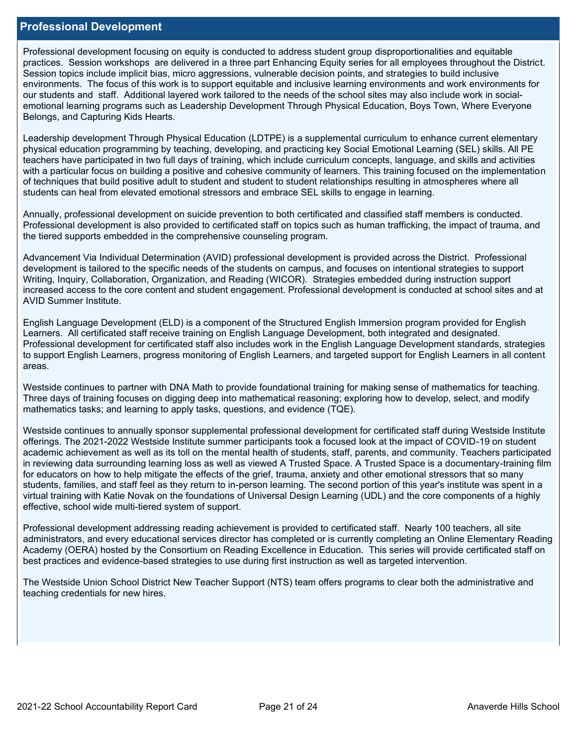#### **Professional Development**

Professional development focusing on equity is conducted to address student group disproportionalities and equitable practices. Session workshops are delivered in a three part Enhancing Equity series for all employees throughout the District. Session topics include implicit bias, micro aggressions, vulnerable decision points, and strategies to build inclusive environments. The focus of this work is to support equitable and inclusive learning environments and work environments for our students and staff. Additional layered work tailored to the needs of the school sites may also include work in socialemotional learning programs such as Leadership Development Through Physical Education, Boys Town, Where Everyone Belongs, and Capturing Kids Hearts.

Leadership development Through Physical Education (LDTPE) is a supplemental curriculum to enhance current elementary physical education programming by teaching, developing, and practicing key Social Emotional Learning (SEL) skills. All PE teachers have participated in two full days of training, which include curriculum concepts, language, and skills and activities with a particular focus on building a positive and cohesive community of learners. This training focused on the implementation of techniques that build positive adult to student and student to student relationships resulting in atmospheres where all students can heal from elevated emotional stressors and embrace SEL skills to engage in learning.

Annually, professional development on suicide prevention to both certificated and classified staff members is conducted. Professional development is also provided to certificated staff on topics such as human trafficking, the impact of trauma, and the tiered supports embedded in the comprehensive counseling program.

Advancement Via Individual Determination (AVID) professional development is provided across the District. Professional development is tailored to the specific needs of the students on campus, and focuses on intentional strategies to support Writing, Inquiry, Collaboration, Organization, and Reading (WICOR). Strategies embedded during instruction support increased access to the core content and student engagement. Professional development is conducted at school sites and at AVID Summer Institute.

English Language Development (ELD) is a component of the Structured English Immersion program provided for English Learners. All certificated staff receive training on English Language Development, both integrated and designated. Professional development for certificated staff also includes work in the English Language Development standards, strategies to support English Learners, progress monitoring of English Learners, and targeted support for English Learners in all content areas.

Westside continues to partner with DNA Math to provide foundational training for making sense of mathematics for teaching. Three days of training focuses on digging deep into mathematical reasoning; exploring how to develop, select, and modify mathematics tasks; and learning to apply tasks, questions, and evidence (TQE).

Westside continues to annually sponsor supplemental professional development for certificated staff during Westside Institute offerings. The 2021-2022 Westside Institute summer participants took a focused look at the impact of COVID-19 on student academic achievement as well as its toll on the mental health of students, staff, parents, and community. Teachers participated in reviewing data surrounding learning loss as well as viewed A Trusted Space. A Trusted Space is a documentary-training film for educators on how to help mitigate the effects of the grief, trauma, anxiety and other emotional stressors that so many students, families, and staff feel as they return to in-person learning. The second portion of this year's institute was spent in a virtual training with Katie Novak on the foundations of Universal Design Learning (UDL) and the core components of a highly effective, school wide multi-tiered system of support.

Professional development addressing reading achievement is provided to certificated staff. Nearly 100 teachers, all site administrators, and every educational services director has completed or is currently completing an Online Elementary Reading Academy (OERA) hosted by the Consortium on Reading Excellence in Education. This series will provide certificated staff on best practices and evidence-based strategies to use during first instruction as well as targeted intervention.

The Westside Union School District New Teacher Support (NTS) team offers programs to clear both the administrative and teaching credentials for new hires.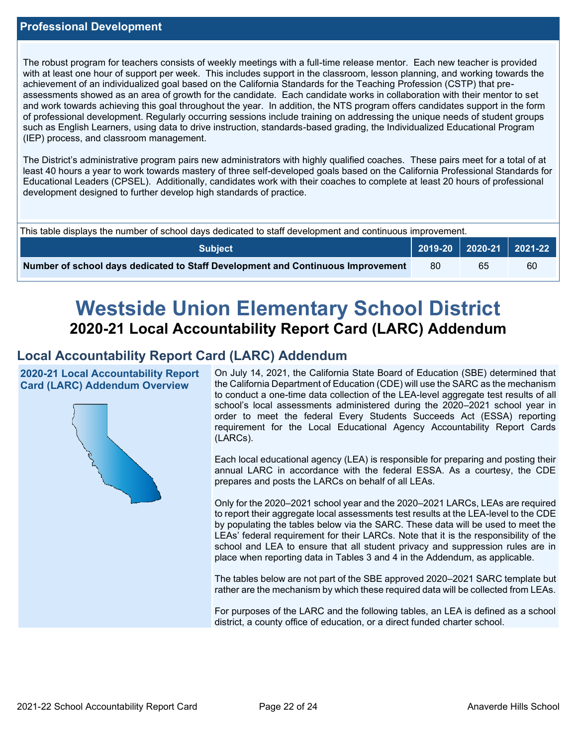The robust program for teachers consists of weekly meetings with a full-time release mentor. Each new teacher is provided with at least one hour of support per week. This includes support in the classroom, lesson planning, and working towards the achievement of an individualized goal based on the California Standards for the Teaching Profession (CSTP) that preassessments showed as an area of growth for the candidate. Each candidate works in collaboration with their mentor to set and work towards achieving this goal throughout the year. In addition, the NTS program offers candidates support in the form of professional development. Regularly occurring sessions include training on addressing the unique needs of student groups such as English Learners, using data to drive instruction, standards-based grading, the Individualized Educational Program (IEP) process, and classroom management.

The District's administrative program pairs new administrators with highly qualified coaches. These pairs meet for a total of at least 40 hours a year to work towards mastery of three self-developed goals based on the California Professional Standards for Educational Leaders (CPSEL). Additionally, candidates work with their coaches to complete at least 20 hours of professional development designed to further develop high standards of practice.

| This table displays the number of school days dedicated to staff development and continuous improvement. |  |                             |    |  |  |
|----------------------------------------------------------------------------------------------------------|--|-----------------------------|----|--|--|
| Subiect                                                                                                  |  | 2019-20   2020-21   2021-22 |    |  |  |
| Number of school days dedicated to Staff Development and Continuous Improvement                          |  | 65                          | 60 |  |  |

# **Westside Union Elementary School District 2020-21 Local Accountability Report Card (LARC) Addendum**

## **Local Accountability Report Card (LARC) Addendum**

**2020-21 Local Accountability Report Card (LARC) Addendum Overview**



On July 14, 2021, the California State Board of Education (SBE) determined that the California Department of Education (CDE) will use the SARC as the mechanism to conduct a one-time data collection of the LEA-level aggregate test results of all school's local assessments administered during the 2020–2021 school year in order to meet the federal Every Students Succeeds Act (ESSA) reporting requirement for the Local Educational Agency Accountability Report Cards (LARCs).

Each local educational agency (LEA) is responsible for preparing and posting their annual LARC in accordance with the federal ESSA. As a courtesy, the CDE prepares and posts the LARCs on behalf of all LEAs.

Only for the 2020–2021 school year and the 2020–2021 LARCs, LEAs are required to report their aggregate local assessments test results at the LEA-level to the CDE by populating the tables below via the SARC. These data will be used to meet the LEAs' federal requirement for their LARCs. Note that it is the responsibility of the school and LEA to ensure that all student privacy and suppression rules are in place when reporting data in Tables 3 and 4 in the Addendum, as applicable.

The tables below are not part of the SBE approved 2020–2021 SARC template but rather are the mechanism by which these required data will be collected from LEAs.

For purposes of the LARC and the following tables, an LEA is defined as a school district, a county office of education, or a direct funded charter school.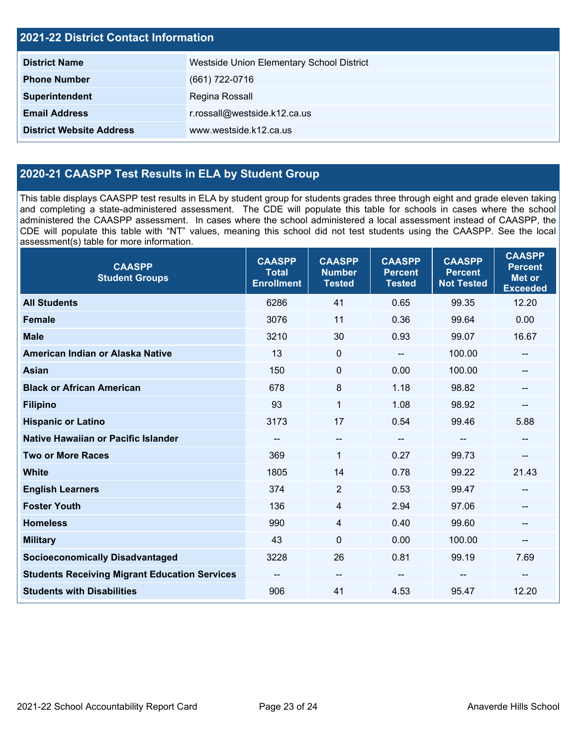| <b>2021-22 District Contact Information</b> |                                           |  |  |  |
|---------------------------------------------|-------------------------------------------|--|--|--|
| <b>District Name</b>                        | Westside Union Elementary School District |  |  |  |
| <b>Phone Number</b>                         | (661) 722-0716                            |  |  |  |
| Superintendent                              | Regina Rossall                            |  |  |  |
| <b>Email Address</b>                        | r.rossall@westside.k12.ca.us              |  |  |  |
| <b>District Website Address</b>             | www.westside.k12.ca.us                    |  |  |  |

# **2020-21 CAASPP Test Results in ELA by Student Group**

This table displays CAASPP test results in ELA by student group for students grades three through eight and grade eleven taking and completing a state-administered assessment. The CDE will populate this table for schools in cases where the school administered the CAASPP assessment. In cases where the school administered a local assessment instead of CAASPP, the CDE will populate this table with "NT" values, meaning this school did not test students using the CAASPP. See the local assessment(s) table for more information.

| <b>CAASPP</b><br><b>Student Groups</b>               | <b>CAASPP</b><br><b>Total</b><br><b>Enrollment</b> | <b>CAASPP</b><br><b>Number</b><br><b>Tested</b> | <b>CAASPP</b><br><b>Percent</b><br><b>Tested</b> | <b>CAASPP</b><br><b>Percent</b><br><b>Not Tested</b> | <b>CAASPP</b><br><b>Percent</b><br><b>Met or</b><br><b>Exceeded</b> |
|------------------------------------------------------|----------------------------------------------------|-------------------------------------------------|--------------------------------------------------|------------------------------------------------------|---------------------------------------------------------------------|
| <b>All Students</b>                                  | 6286                                               | 41                                              | 0.65                                             | 99.35                                                | 12.20                                                               |
| <b>Female</b>                                        | 3076                                               | 11                                              | 0.36                                             | 99.64                                                | 0.00                                                                |
| <b>Male</b>                                          | 3210                                               | 30                                              | 0.93                                             | 99.07                                                | 16.67                                                               |
| American Indian or Alaska Native                     | 13                                                 | $\mathbf 0$                                     | $\overline{\phantom{a}}$                         | 100.00                                               | --                                                                  |
| Asian                                                | 150                                                | $\mathbf 0$                                     | 0.00                                             | 100.00                                               |                                                                     |
| <b>Black or African American</b>                     | 678                                                | 8                                               | 1.18                                             | 98.82                                                | --                                                                  |
| <b>Filipino</b>                                      | 93                                                 | $\mathbf{1}$                                    | 1.08                                             | 98.92                                                | --                                                                  |
| <b>Hispanic or Latino</b>                            | 3173                                               | 17                                              | 0.54                                             | 99.46                                                | 5.88                                                                |
| Native Hawaiian or Pacific Islander                  | --                                                 | $\overline{\phantom{a}}$                        | $\overline{\phantom{a}}$                         | $-$                                                  | --                                                                  |
| <b>Two or More Races</b>                             | 369                                                | 1                                               | 0.27                                             | 99.73                                                | --                                                                  |
| <b>White</b>                                         | 1805                                               | 14                                              | 0.78                                             | 99.22                                                | 21.43                                                               |
| <b>English Learners</b>                              | 374                                                | $\overline{2}$                                  | 0.53                                             | 99.47                                                |                                                                     |
| <b>Foster Youth</b>                                  | 136                                                | $\overline{4}$                                  | 2.94                                             | 97.06                                                |                                                                     |
| <b>Homeless</b>                                      | 990                                                | 4                                               | 0.40                                             | 99.60                                                | --                                                                  |
| <b>Military</b>                                      | 43                                                 | $\mathbf 0$                                     | 0.00                                             | 100.00                                               | --                                                                  |
| <b>Socioeconomically Disadvantaged</b>               | 3228                                               | 26                                              | 0.81                                             | 99.19                                                | 7.69                                                                |
| <b>Students Receiving Migrant Education Services</b> | --                                                 | $\qquad \qquad -$                               |                                                  | --                                                   |                                                                     |
| <b>Students with Disabilities</b>                    | 906                                                | 41                                              | 4.53                                             | 95.47                                                | 12.20                                                               |